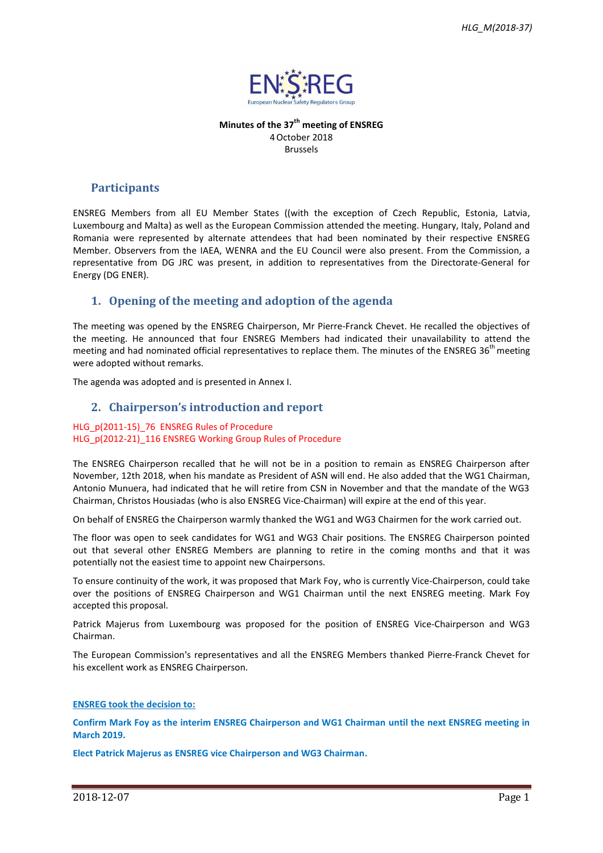

**Minutes of the 37 th meeting of ENSREG** 4October 2018 Brussels

### **Participants**

ENSREG Members from all EU Member States ((with the exception of Czech Republic, Estonia, Latvia, Luxembourg and Malta) as well as the European Commission attended the meeting. Hungary, Italy, Poland and Romania were represented by alternate attendees that had been nominated by their respective ENSREG Member. Observers from the IAEA, WENRA and the EU Council were also present. From the Commission, a representative from DG JRC was present, in addition to representatives from the Directorate-General for Energy (DG ENER).

## **1. Opening of the meeting and adoption of the agenda**

The meeting was opened by the ENSREG Chairperson, Mr Pierre-Franck Chevet. He recalled the objectives of the meeting. He announced that four ENSREG Members had indicated their unavailability to attend the meeting and had nominated official representatives to replace them. The minutes of the ENSREG  $36<sup>th</sup>$  meeting were adopted without remarks.

The agenda was adopted and is presented in Annex I.

## **2. Chairperson's introduction and report**

#### HLG\_p(2011-15)\_76 ENSREG Rules of Procedure HLG p(2012-21) 116 ENSREG Working Group Rules of Procedure

The ENSREG Chairperson recalled that he will not be in a position to remain as ENSREG Chairperson after November, 12th 2018, when his mandate as President of ASN will end. He also added that the WG1 Chairman, Antonio Munuera, had indicated that he will retire from CSN in November and that the mandate of the WG3 Chairman, Christos Housiadas (who is also ENSREG Vice-Chairman) will expire at the end of this year.

On behalf of ENSREG the Chairperson warmly thanked the WG1 and WG3 Chairmen for the work carried out.

The floor was open to seek candidates for WG1 and WG3 Chair positions. The ENSREG Chairperson pointed out that several other ENSREG Members are planning to retire in the coming months and that it was potentially not the easiest time to appoint new Chairpersons.

To ensure continuity of the work, it was proposed that Mark Foy, who is currently Vice-Chairperson, could take over the positions of ENSREG Chairperson and WG1 Chairman until the next ENSREG meeting. Mark Foy accepted this proposal.

Patrick Majerus from Luxembourg was proposed for the position of ENSREG Vice-Chairperson and WG3 Chairman.

The European Commission's representatives and all the ENSREG Members thanked Pierre-Franck Chevet for his excellent work as ENSREG Chairperson.

#### **ENSREG took the decision to:**

**Confirm Mark Foy as the interim ENSREG Chairperson and WG1 Chairman until the next ENSREG meeting in March 2019.**

**Elect Patrick Majerus as ENSREG vice Chairperson and WG3 Chairman.**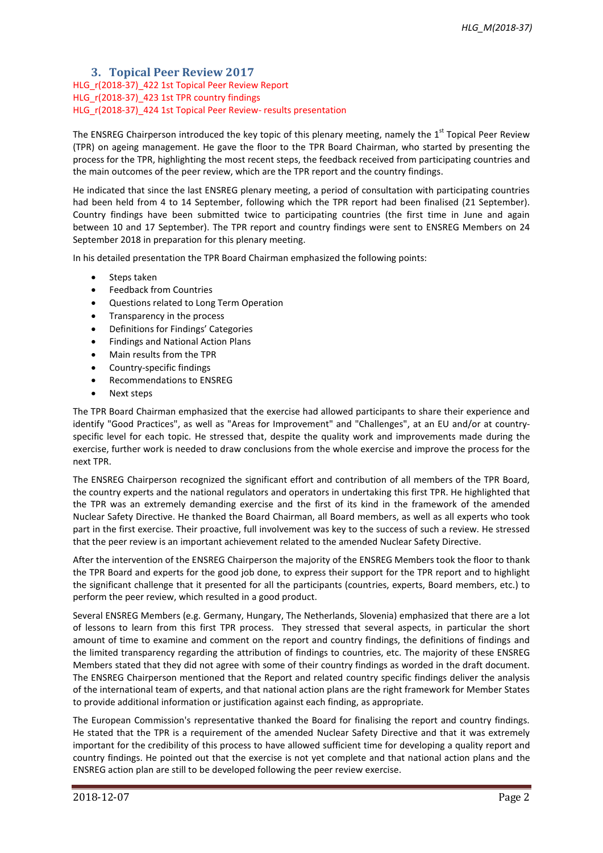### **3. Topical Peer Review 2017** HLG r(2018-37) 422 1st Topical Peer Review Report HLG r(2018-37) 423 1st TPR country findings HLG r(2018-37) 424 1st Topical Peer Review- results presentation

The ENSREG Chairperson introduced the key topic of this plenary meeting, namely the 1<sup>st</sup> Topical Peer Review (TPR) on ageing management. He gave the floor to the TPR Board Chairman, who started by presenting the process for the TPR, highlighting the most recent steps, the feedback received from participating countries and the main outcomes of the peer review, which are the TPR report and the country findings.

He indicated that since the last ENSREG plenary meeting, a period of consultation with participating countries had been held from 4 to 14 September, following which the TPR report had been finalised (21 September). Country findings have been submitted twice to participating countries (the first time in June and again between 10 and 17 September). The TPR report and country findings were sent to ENSREG Members on 24 September 2018 in preparation for this plenary meeting.

In his detailed presentation the TPR Board Chairman emphasized the following points:

- Steps taken
- Feedback from Countries
- Questions related to Long Term Operation
- Transparency in the process
- Definitions for Findings' Categories
- Findings and National Action Plans
- Main results from the TPR
- Country-specific findings
- Recommendations to ENSREG
- Next steps

The TPR Board Chairman emphasized that the exercise had allowed participants to share their experience and identify "Good Practices", as well as "Areas for Improvement" and "Challenges", at an EU and/or at countryspecific level for each topic. He stressed that, despite the quality work and improvements made during the exercise, further work is needed to draw conclusions from the whole exercise and improve the process for the next TPR.

The ENSREG Chairperson recognized the significant effort and contribution of all members of the TPR Board, the country experts and the national regulators and operators in undertaking this first TPR. He highlighted that the TPR was an extremely demanding exercise and the first of its kind in the framework of the amended Nuclear Safety Directive. He thanked the Board Chairman, all Board members, as well as all experts who took part in the first exercise. Their proactive, full involvement was key to the success of such a review. He stressed that the peer review is an important achievement related to the amended Nuclear Safety Directive.

After the intervention of the ENSREG Chairperson the majority of the ENSREG Members took the floor to thank the TPR Board and experts for the good job done, to express their support for the TPR report and to highlight the significant challenge that it presented for all the participants (countries, experts, Board members, etc.) to perform the peer review, which resulted in a good product.

Several ENSREG Members (e.g. Germany, Hungary, The Netherlands, Slovenia) emphasized that there are a lot of lessons to learn from this first TPR process. They stressed that several aspects, in particular the short amount of time to examine and comment on the report and country findings, the definitions of findings and the limited transparency regarding the attribution of findings to countries, etc. The majority of these ENSREG Members stated that they did not agree with some of their country findings as worded in the draft document. The ENSREG Chairperson mentioned that the Report and related country specific findings deliver the analysis of the international team of experts, and that national action plans are the right framework for Member States to provide additional information or justification against each finding, as appropriate.

The European Commission's representative thanked the Board for finalising the report and country findings. He stated that the TPR is a requirement of the amended Nuclear Safety Directive and that it was extremely important for the credibility of this process to have allowed sufficient time for developing a quality report and country findings. He pointed out that the exercise is not yet complete and that national action plans and the ENSREG action plan are still to be developed following the peer review exercise.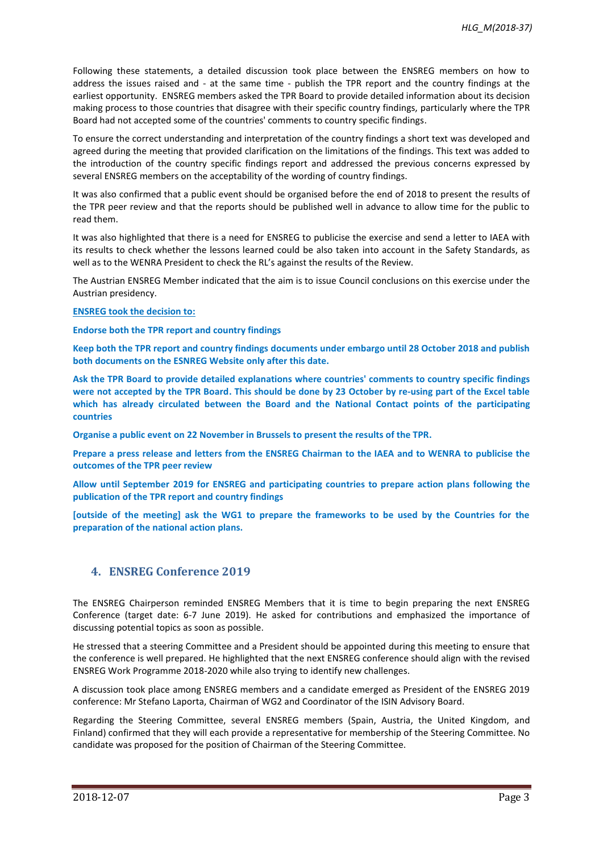Following these statements, a detailed discussion took place between the ENSREG members on how to address the issues raised and - at the same time - publish the TPR report and the country findings at the earliest opportunity. ENSREG members asked the TPR Board to provide detailed information about its decision making process to those countries that disagree with their specific country findings, particularly where the TPR Board had not accepted some of the countries' comments to country specific findings.

To ensure the correct understanding and interpretation of the country findings a short text was developed and agreed during the meeting that provided clarification on the limitations of the findings. This text was added to the introduction of the country specific findings report and addressed the previous concerns expressed by several ENSREG members on the acceptability of the wording of country findings.

It was also confirmed that a public event should be organised before the end of 2018 to present the results of the TPR peer review and that the reports should be published well in advance to allow time for the public to read them.

It was also highlighted that there is a need for ENSREG to publicise the exercise and send a letter to IAEA with its results to check whether the lessons learned could be also taken into account in the Safety Standards, as well as to the WENRA President to check the RL's against the results of the Review.

The Austrian ENSREG Member indicated that the aim is to issue Council conclusions on this exercise under the Austrian presidency.

#### **ENSREG took the decision to:**

**Endorse both the TPR report and country findings** 

**Keep both the TPR report and country findings documents under embargo until 28 October 2018 and publish both documents on the ESNREG Website only after this date.**

**Ask the TPR Board to provide detailed explanations where countries' comments to country specific findings were not accepted by the TPR Board. This should be done by 23 October by re-using part of the Excel table which has already circulated between the Board and the National Contact points of the participating countries**

**Organise a public event on 22 November in Brussels to present the results of the TPR.**

**Prepare a press release and letters from the ENSREG Chairman to the IAEA and to WENRA to publicise the outcomes of the TPR peer review**

**Allow until September 2019 for ENSREG and participating countries to prepare action plans following the publication of the TPR report and country findings**

**[outside of the meeting] ask the WG1 to prepare the frameworks to be used by the Countries for the preparation of the national action plans.** 

## **4. ENSREG Conference 2019**

The ENSREG Chairperson reminded ENSREG Members that it is time to begin preparing the next ENSREG Conference (target date: 6-7 June 2019). He asked for contributions and emphasized the importance of discussing potential topics as soon as possible.

He stressed that a steering Committee and a President should be appointed during this meeting to ensure that the conference is well prepared. He highlighted that the next ENSREG conference should align with the revised ENSREG Work Programme 2018-2020 while also trying to identify new challenges.

A discussion took place among ENSREG members and a candidate emerged as President of the ENSREG 2019 conference: Mr Stefano Laporta, Chairman of WG2 and Coordinator of the ISIN Advisory Board.

Regarding the Steering Committee, several ENSREG members (Spain, Austria, the United Kingdom, and Finland) confirmed that they will each provide a representative for membership of the Steering Committee. No candidate was proposed for the position of Chairman of the Steering Committee.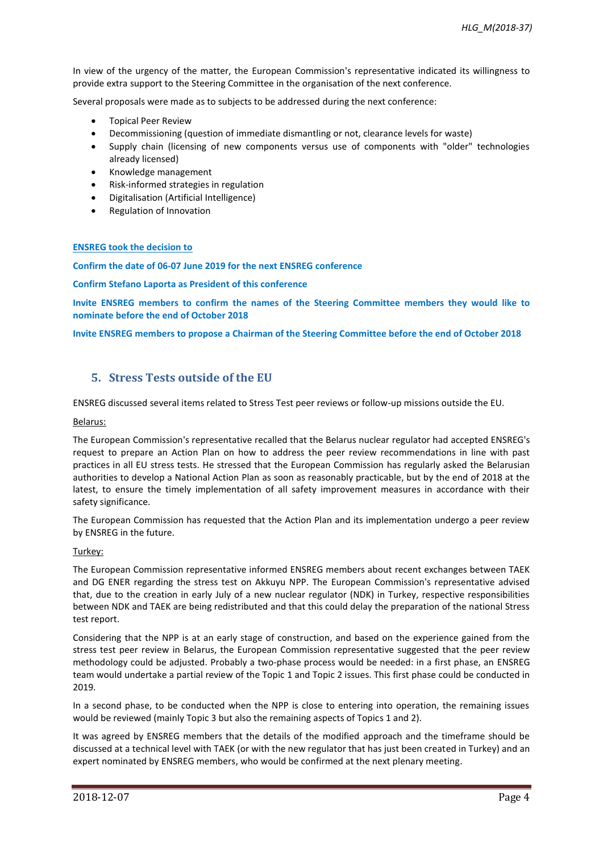In view of the urgency of the matter, the European Commission's representative indicated its willingness to provide extra support to the Steering Committee in the organisation of the next conference.

Several proposals were made as to subjects to be addressed during the next conference:

- Topical Peer Review
- Decommissioning (question of immediate dismantling or not, clearance levels for waste)
- Supply chain (licensing of new components versus use of components with "older" technologies already licensed)
- Knowledge management
- Risk-informed strategies in regulation
- Digitalisation (Artificial Intelligence)
- Regulation of Innovation

#### **ENSREG took the decision to**

**Confirm the date of 06-07 June 2019 for the next ENSREG conference**

**Confirm Stefano Laporta as President of this conference**

**Invite ENSREG members to confirm the names of the Steering Committee members they would like to nominate before the end of October 2018**

**Invite ENSREG members to propose a Chairman of the Steering Committee before the end of October 2018**

## **5. Stress Tests outside of the EU**

ENSREG discussed several items related to Stress Test peer reviews or follow-up missions outside the EU.

#### Belarus:

The European Commission's representative recalled that the Belarus nuclear regulator had accepted ENSREG's request to prepare an Action Plan on how to address the peer review recommendations in line with past practices in all EU stress tests. He stressed that the European Commission has regularly asked the Belarusian authorities to develop a National Action Plan as soon as reasonably practicable, but by the end of 2018 at the latest, to ensure the timely implementation of all safety improvement measures in accordance with their safety significance.

The European Commission has requested that the Action Plan and its implementation undergo a peer review by ENSREG in the future.

#### Turkey:

The European Commission representative informed ENSREG members about recent exchanges between TAEK and DG ENER regarding the stress test on Akkuyu NPP. The European Commission's representative advised that, due to the creation in early July of a new nuclear regulator (NDK) in Turkey, respective responsibilities between NDK and TAEK are being redistributed and that this could delay the preparation of the national Stress test report.

Considering that the NPP is at an early stage of construction, and based on the experience gained from the stress test peer review in Belarus, the European Commission representative suggested that the peer review methodology could be adjusted. Probably a two-phase process would be needed: in a first phase, an ENSREG team would undertake a partial review of the Topic 1 and Topic 2 issues. This first phase could be conducted in 2019.

In a second phase, to be conducted when the NPP is close to entering into operation, the remaining issues would be reviewed (mainly Topic 3 but also the remaining aspects of Topics 1 and 2).

It was agreed by ENSREG members that the details of the modified approach and the timeframe should be discussed at a technical level with TAEK (or with the new regulator that has just been created in Turkey) and an expert nominated by ENSREG members, who would be confirmed at the next plenary meeting.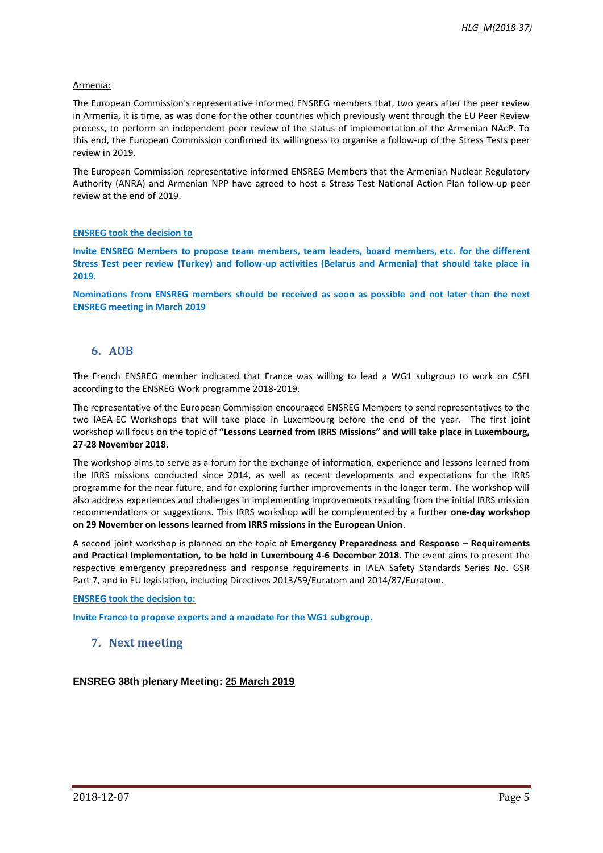#### Armenia:

The European Commission's representative informed ENSREG members that, two years after the peer review in Armenia, it is time, as was done for the other countries which previously went through the EU Peer Review process, to perform an independent peer review of the status of implementation of the Armenian NAcP. To this end, the European Commission confirmed its willingness to organise a follow-up of the Stress Tests peer review in 2019.

The European Commission representative informed ENSREG Members that the Armenian Nuclear Regulatory Authority (ANRA) and Armenian NPP have agreed to host a Stress Test National Action Plan follow-up peer review at the end of 2019.

#### **ENSREG took the decision to**

**Invite ENSREG Members to propose team members, team leaders, board members, etc. for the different Stress Test peer review (Turkey) and follow-up activities (Belarus and Armenia) that should take place in 2019.**

**Nominations from ENSREG members should be received as soon as possible and not later than the next ENSREG meeting in March 2019**

## **6. AOB**

The French ENSREG member indicated that France was willing to lead a WG1 subgroup to work on CSFI according to the ENSREG Work programme 2018-2019.

The representative of the European Commission encouraged ENSREG Members to send representatives to the two IAEA-EC Workshops that will take place in Luxembourg before the end of the year. The first joint workshop will focus on the topic of **"Lessons Learned from IRRS Missions" and will take place in Luxembourg, 27-28 November 2018.**

The workshop aims to serve as a forum for the exchange of information, experience and lessons learned from the IRRS missions conducted since 2014, as well as recent developments and expectations for the IRRS programme for the near future, and for exploring further improvements in the longer term. The workshop will also address experiences and challenges in implementing improvements resulting from the initial IRRS mission recommendations or suggestions. This IRRS workshop will be complemented by a further **one-day workshop on 29 November on lessons learned from IRRS missions in the European Union**.

A second joint workshop is planned on the topic of **Emergency Preparedness and Response – Requirements and Practical Implementation, to be held in Luxembourg 4-6 December 2018**. The event aims to present the respective emergency preparedness and response requirements in IAEA Safety Standards Series No. GSR Part 7, and in EU legislation, including Directives 2013/59/Euratom and 2014/87/Euratom.

**ENSREG took the decision to:** 

**Invite France to propose experts and a mandate for the WG1 subgroup.**

## **7. Next meeting**

**ENSREG 38th plenary Meeting: 25 March 2019**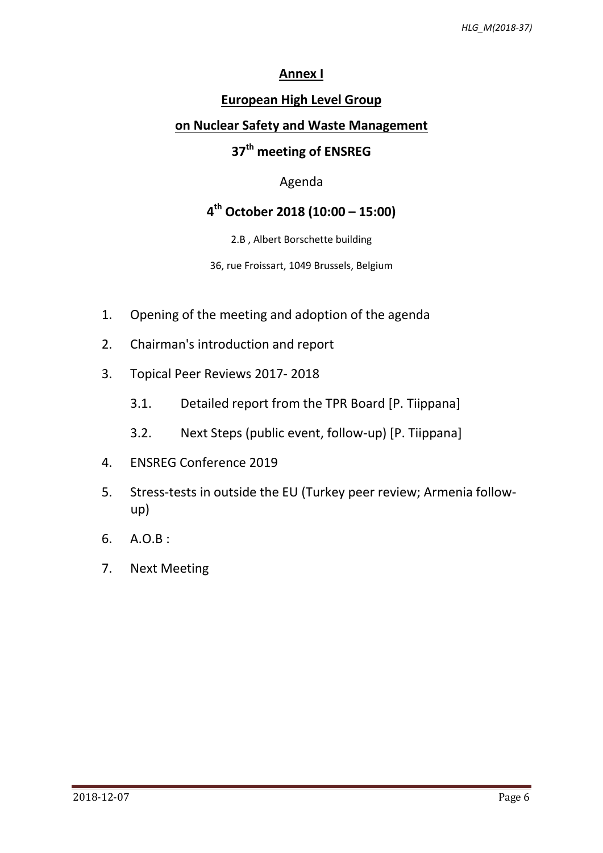# **Annex I**

# **European High Level Group**

## **on Nuclear Safety and Waste Management**

# **37 th meeting of ENSREG**

## Agenda

# **4 th October 2018 (10:00 – 15:00)**

2.B , Albert Borschette building

36, rue Froissart, 1049 Brussels, Belgium

- 1. Opening of the meeting and adoption of the agenda
- 2. Chairman's introduction and report
- 3. Topical Peer Reviews 2017- 2018
	- 3.1. Detailed report from the TPR Board [P. Tiippana]
	- 3.2. Next Steps (public event, follow-up) [P. Tiippana]
- 4. ENSREG Conference 2019
- 5. Stress-tests in outside the EU (Turkey peer review; Armenia followup)
- 6. A.O.B :
- 7. Next Meeting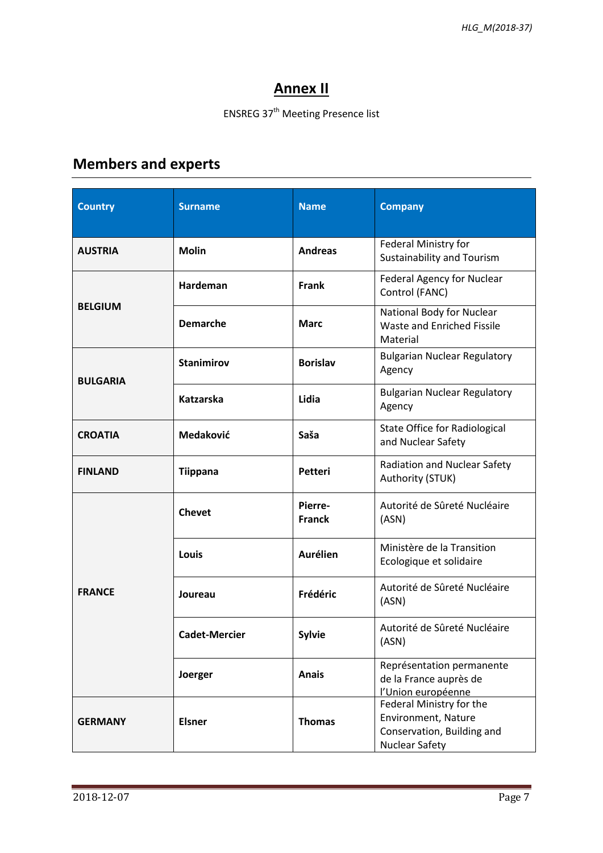# **Annex II**

# ENSREG 37<sup>th</sup> Meeting Presence list

# **Members and experts**

| <b>Country</b>  | <b>Surname</b>       | <b>Name</b>              | <b>Company</b>                                                                                                |
|-----------------|----------------------|--------------------------|---------------------------------------------------------------------------------------------------------------|
| <b>AUSTRIA</b>  | <b>Molin</b>         | <b>Andreas</b>           | Federal Ministry for<br><b>Sustainability and Tourism</b>                                                     |
| <b>BELGIUM</b>  | Hardeman             | <b>Frank</b>             | <b>Federal Agency for Nuclear</b><br>Control (FANC)                                                           |
|                 | <b>Demarche</b>      | <b>Marc</b>              | National Body for Nuclear<br>Waste and Enriched Fissile<br>Material                                           |
| <b>BULGARIA</b> | <b>Stanimirov</b>    | <b>Borislav</b>          | <b>Bulgarian Nuclear Regulatory</b><br>Agency                                                                 |
|                 | <b>Katzarska</b>     | Lidia                    | <b>Bulgarian Nuclear Regulatory</b><br>Agency                                                                 |
| <b>CROATIA</b>  | Medaković            | Saša                     | <b>State Office for Radiological</b><br>and Nuclear Safety                                                    |
| <b>FINLAND</b>  | <b>Tiippana</b>      | Petteri                  | <b>Radiation and Nuclear Safety</b><br>Authority (STUK)                                                       |
| <b>FRANCE</b>   | <b>Chevet</b>        | Pierre-<br><b>Franck</b> | Autorité de Sûreté Nucléaire<br>(ASN)                                                                         |
|                 | Louis                | <b>Aurélien</b>          | Ministère de la Transition<br>Ecologique et solidaire                                                         |
|                 | Joureau              | Frédéric                 | Autorité de Sûreté Nucléaire<br>(ASN)                                                                         |
|                 | <b>Cadet-Mercier</b> | <b>Sylvie</b>            | Autorité de Sûreté Nucléaire<br>(ASN)                                                                         |
|                 | Joerger              | <b>Anais</b>             | Représentation permanente<br>de la France auprès de<br>l'Union européenne                                     |
| <b>GERMANY</b>  | <b>Elsner</b>        | <b>Thomas</b>            | Federal Ministry for the<br><b>Environment, Nature</b><br>Conservation, Building and<br><b>Nuclear Safety</b> |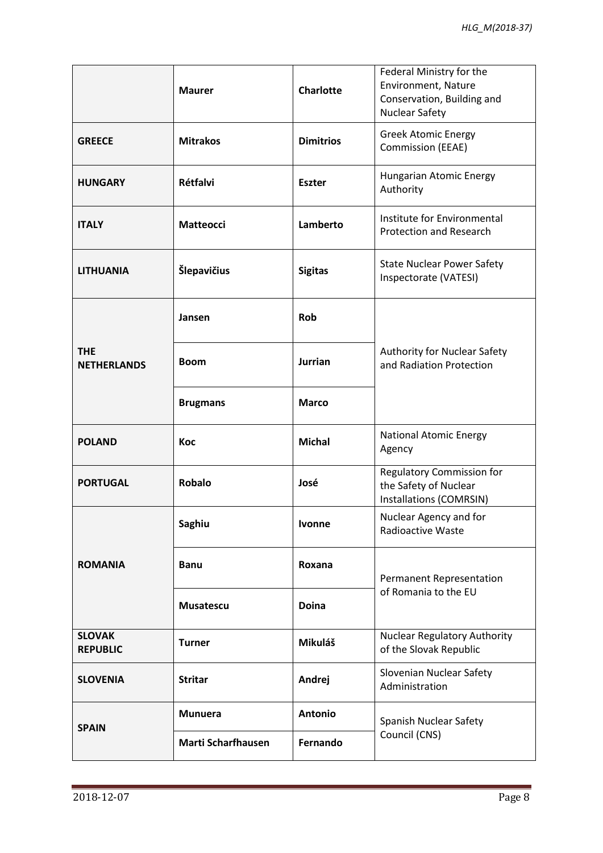|                                  | <b>Maurer</b>             | <b>Charlotte</b> | Federal Ministry for the<br>Environment, Nature<br>Conservation, Building and<br><b>Nuclear Safety</b> |
|----------------------------------|---------------------------|------------------|--------------------------------------------------------------------------------------------------------|
| <b>GREECE</b>                    | <b>Mitrakos</b>           | <b>Dimitrios</b> | <b>Greek Atomic Energy</b><br><b>Commission (EEAE)</b>                                                 |
| <b>HUNGARY</b>                   | Rétfalvi                  | <b>Eszter</b>    | Hungarian Atomic Energy<br>Authority                                                                   |
| <b>ITALY</b>                     | <b>Matteocci</b>          | Lamberto         | Institute for Environmental<br><b>Protection and Research</b>                                          |
| <b>LITHUANIA</b>                 | Šlepavičius               | <b>Sigitas</b>   | <b>State Nuclear Power Safety</b><br>Inspectorate (VATESI)                                             |
| <b>THE</b><br><b>NETHERLANDS</b> | Jansen                    | <b>Rob</b>       | Authority for Nuclear Safety<br>and Radiation Protection                                               |
|                                  | <b>Boom</b>               | <b>Jurrian</b>   |                                                                                                        |
|                                  | <b>Brugmans</b>           | <b>Marco</b>     |                                                                                                        |
| <b>POLAND</b>                    | Koc                       | <b>Michal</b>    | <b>National Atomic Energy</b><br>Agency                                                                |
| <b>PORTUGAL</b>                  | <b>Robalo</b>             | José             | <b>Regulatory Commission for</b><br>the Safety of Nuclear<br>Installations (COMRSIN)                   |
| <b>ROMANIA</b>                   | Saghiu                    | <b>Ivonne</b>    | Nuclear Agency and for<br><b>Radioactive Waste</b>                                                     |
|                                  | <b>Banu</b>               | Roxana           | Permanent Representation                                                                               |
|                                  | <b>Musatescu</b>          | <b>Doina</b>     | of Romania to the EU                                                                                   |
| <b>SLOVAK</b><br><b>REPUBLIC</b> | <b>Turner</b>             | Mikuláš          | <b>Nuclear Regulatory Authority</b><br>of the Slovak Republic                                          |
| <b>SLOVENIA</b>                  | <b>Stritar</b>            | Andrej           | Slovenian Nuclear Safety<br>Administration                                                             |
| <b>SPAIN</b>                     | <b>Munuera</b>            | <b>Antonio</b>   | Spanish Nuclear Safety<br>Council (CNS)                                                                |
|                                  | <b>Marti Scharfhausen</b> | Fernando         |                                                                                                        |